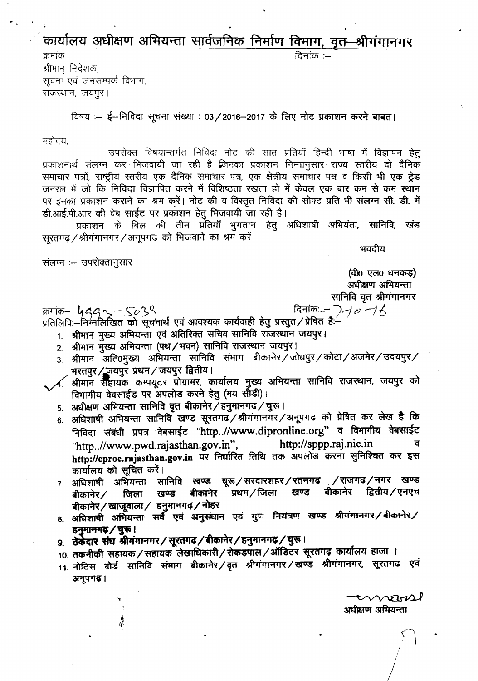## कार्यालय अधीक्षण अभियन्ता सार्वजनिक निर्माण विभाग, वृत-श्रीगंगानगर दिनांक :–

क्रमांक— श्रीमान् निदेशक, सूचना एवं जनसम्पर्क विभाग, राजस्थान, जयपुर।

विषय :-- ई--निविदा सूचना संख्या : 03/2016-2017 के लिए नोट प्रकाशन करने बाबत।

महोदय.

उपरोक्त विषयान्तर्गत निविदा नोट की सात प्रतियाँ हिन्दी भाषा में विज्ञापन हेतू प्रकाशनार्थ संलग्न कर भिजवायी जा रही है जिनका प्रकाशन निम्नानुसार राज्य स्तरीय दो दैनिक समाचार पत्रों, राष्ट्रीय स्तरीय एक दैनिक समाचार पत्र, एक क्षेत्रीय समाचार पत्र व किसी भी एक ट्रेड जनरल में जो कि निविदा विज्ञापित करने में विशिष्ठता रखता हो में केवल एक बार कम से कम स्थान पर इनका प्रकाशन कराने का श्रम करें। नोट की व विस्तृत निविदा की सोफ्ट प्रति भी संलग्न सी. डी. में डी.आई.पी.आर की वेब साईट पर प्रकाशन हेतू भिजवायी जा रही है।

प्रकाशन के बिल की तीन प्रतियाँ भुगतान हेतु अधिशाषी अभियंता, सानिवि, खंड सूरतगढ़ / श्रीगंगानगर / अनूपगढ़ को भिजवाने का श्रम करें ।

भवदीय

संलग्न — उपरोक्तानुसार

(वी0 एल0 धनकड़) अधीक्षण अभियन्ता सानिवि वृत श्रीगंगानगर

दिनांकः =  $\bigtriangledown$  $\rightarrow$   $\phi$   $\rightarrow$   $\beta$ 

क्रमांक— ५*८८* へ 〜 〜 ८०९९<br>प्रतिलिपिः—निम्नलिखित को सूचनार्थ एवं आवश्यक कार्यवाही हेतु प्रस्तुत / प्रेषित हैः—

1. श्रीमान मुख्य अभियन्ता एवं अतिरिक्त सचिव सानिवि राजस्थान जयपुर।

- 2. श्रीमान मुख्य अभियन्ता (पथ/भवन) सानिवि राजस्थान जयपुर।
- 3. श्रीमान अति0मुख्य अभियन्ता सानिवि संभाग बीकानेर / जोघपुर / कोटा / अजमेर / उदयपुर / भरतपुर/ जयपुर प्रथम/जयपुर द्वितीय।
- $\boldsymbol{\mathcal{A}}$  श्रीमान सहायक कम्पयूटर प्रोग्रामर, कार्यालय मुख्य अभियन्ता सानिवि राजस्थान, जयपुर को विमागीय वेबसाईड पर अपलोड करने हेतु (मय सीडी)।
- 5. अधीक्षण अभियन्ता सानिवि वृत बीकानेर / हनुमानगढ़ / चुरू।
- 6. अधिशाषी अभियन्ता सानिवि खण्ड सूरतगढ़/श्रीगंगानगर/अनूपगढ़ को प्रेषित कर लेख है कि निविदा संबंधी प्रपत्र वेबसाईट "http..//www.dipronline.org" व विभागीय वेबसाईट "http..//www.pwd.rajasthan.gov.in", http://sppp.raj.nic.in ਕ http://eproc.rajasthan.gov.in पर निर्धारित तिथि तक अपलोड करना सुनिश्चित कर इस कार्यालय को सूचित करें।
- 7. अधिशाषी अभियन्ता सानिवि खण्ड चूरू/सरदारशहर/रतनगढ /राजगढ/नगर खण्ड बीकानेर प्रथम / जिला $\,$ खण्ड बीकानेर द्वितीय / एनएच खण्ड बीकानेर $\angle$ जिला बीकानेर / खाजूवाला / हनुमानगढ़ / नोहर
- 8. अधिशाषी अभियन्ता सर्वे एवं अनुसंधान एवं गुण नियंत्रण खण्ड श्रीगंगानगर/बीकानेर/ हनुमानगढ़ / चुरू।
- 9. ठेकेदार संघ श्रीगंगानगर/सूरतगढ/बीकानेर/हनुमानगढ़/घुरू।
- 10. तकनीकी सहायक/सहायक लेखाधिकारी/रोकड़पाल/ऑडिटर सूरतगढ़ कार्यालय हाजा ।
- 11. नोटिस बोर्ड सानिवि संमाग बीकानेर /वृत श्रीगंगानगर /खण्ड श्रीगंगानगर, सूरतगढ एवं अनूपगढ़।

 $\sim$ अधीसण अभियन्ता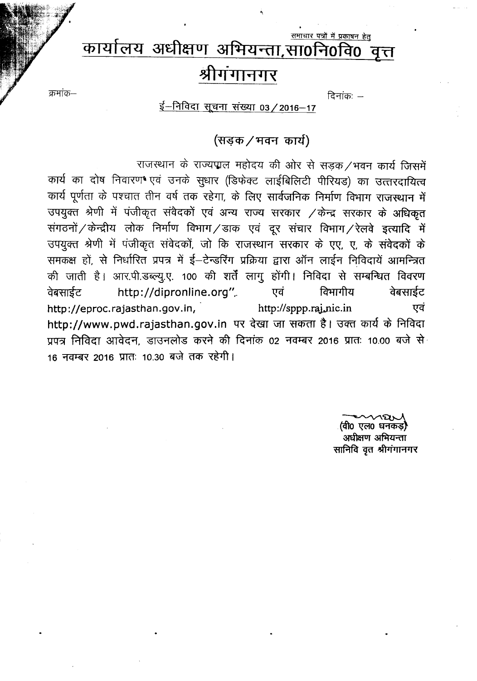### समाचार पत्रों में प्रकाषन हेतु कार्यालय अधीक्षण अभियन्ता,सा0नि0वि0 वत्त श्रीगंगानगर

 $\overline{G}$ नांकः  $-$ 

<u>ई-निविदा</u> सूचना संख्या 03 / 2016-17

क्रमांक–

## (सड़क / भवन) कार्य)

राजस्थान के राज्यपाल महोदय की ओर से सड़क/भवन कार्य जिसमें कार्य का दोष निवारण एवं उनके सुधार (डिफेक्ट लाईबिलिटी पीरियड) का उत्तरदायित्व कार्य पूर्णता के पश्चात तीन वर्ष तक रहेगा, के लिए सार्वजनिक निर्माण विभाग राजस्थान में उपयुक्त श्रेणी में पंजीकृत संवेदकों एवं अन्य राज्य सरकार /केन्द्र सरकार के अधिकृत संगठनों / केन्द्रीय लोक निर्माण विभाग / डाक एवं दूर संचार विभाग / रेलवे इत्यादि में उपयुक्त श्रेणी में पंजीकृत संवेदकों, जो कि राजस्थान सरकार के एए, ए, के संवेदकों के समकक्ष हों, से निर्धारित प्रपत्र में ई-टेन्डरिंग प्रक्रिया द्वारा ऑन लाईन निविदायें आमन्त्रित की जाती है। आर.पी.डब्ल्यु.ए. 100 की शर्तें लागु होंगी। निविदा से सम्बन्धित विवरण http://dipronline.org", एवं विभागीय वेबसाईट वेबसाईट http://eproc.rajasthan.gov.in, http://sppp.raj.nic.in एवं http://www.pwd.rajasthan.gov.in पर देखा जा सकता है। उक्त कार्य के निविदा प्रपत्र निविदा आवेदन, डाउनलोड करने की दिनांक 02 नवम्बर 2016 प्रातः 10.00 बजे से 16 नवम्बर 2016 प्रातः 10.30 बजे तक रहेगी।

> (वी0 एल0 धनकड़ अधीक्षण अभियन्ता सानिवि वृत श्रीगंगानगर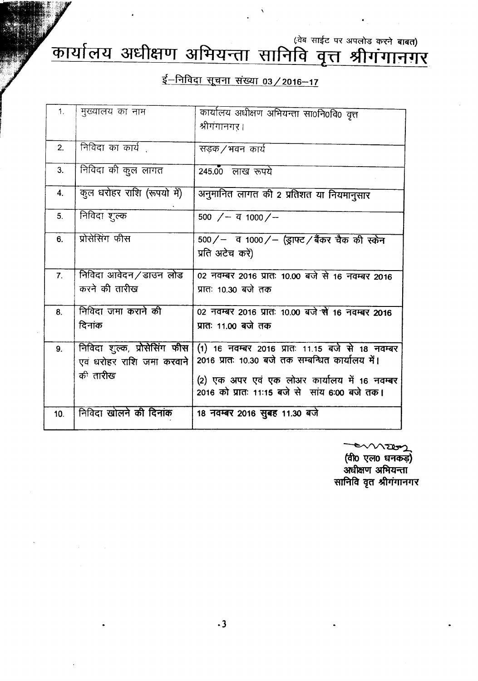(वेब साईट पर अपलोड करने **बाबत)** 

# **(f)III <sup>f</sup>** *clll* 3T~1TlffUT**arrtJ** *1I***"i11 <sup>~</sup>** IPIrq ~ J5f1" fJ II~~I~

 $\hat{\mathbf{v}}$ 

## <u>ई-निविदा सूचना संख्या 03 / 2016-17</u>

| 1 <sub>1</sub> | मुख्यालय का नाम               |                                                   |
|----------------|-------------------------------|---------------------------------------------------|
|                |                               | कार्यालय अधीक्षण अभियन्ता सा0नि0वि0 वृत्त         |
|                |                               | श्रीगंगानगर ।                                     |
|                |                               |                                                   |
| 2.             | निविदा का कार्य               | सड़क ⁄ भवन) कार्य                                 |
|                |                               |                                                   |
| 3 <sub>1</sub> | निविदा की कुल लागत            | $245.00$ लाख रूपये                                |
|                |                               |                                                   |
| 4.             | कुल धरोहर राशि (रूपयो में)    | अनुमानित लागत की 2 प्रतिशत या नियमानुसार          |
|                |                               |                                                   |
| 5 <sub>1</sub> | निविदा शुल्क                  | 500 $/$ – $\frac{1}{4}$ 1000 $/$ –                |
|                |                               |                                                   |
| 6.             | प्रोसेसिंग फीस                | 500/- व 1000/- (ड्राफ्ट/बैंकर चैक की स्केन        |
|                |                               |                                                   |
|                |                               | प्रति अटेच करें)                                  |
|                |                               |                                                   |
| 7 <sub>1</sub> | निविदा आवेदन/डाउन लोड         | 02 नवम्बर 2016 प्रातः 10.00 बजे से 16 नवम्बर 2016 |
|                | करने की तारीख                 | प्रातः 10.30 बजे तक                               |
|                |                               |                                                   |
| 8.             | निविदा जमा कराने की           | 02 नवम्बर 2016 प्रातः 10.00 बजे से 16 नवम्बर 2016 |
|                | दिनांक                        | प्रातः 11.00 बजे तक                               |
|                |                               |                                                   |
| 9 <sub>1</sub> | निविदा शुल्क, प्रोसेसिंग फीस  | (1) 16 नवम्बर 2016 प्रातः 11.15 बजे से 18 नवम्बर  |
|                |                               |                                                   |
|                | एव धरोहर राशि जमा करवाने      | 2016 प्रातः 10.30 बजे तक सम्बन्धित कार्यालय में।  |
|                | की तारीख                      | (2) एक अपर एवं एक लोअर कार्यालय में 16 नवम्बर     |
|                |                               |                                                   |
|                |                               | 2016 को प्रातः 11:15 बजे से सांय 6:00 बजे तक।     |
|                | निविदा खोलने की <b>दिनांक</b> |                                                   |
| 10.            |                               | 18 नवम्बर 2016 सुबह 11.30 बजे                     |
|                |                               |                                                   |

~~ (वा0 एल0 घनक अर्धाक्षण अभियन्ता सानिवि वृत श्रीगंगानगर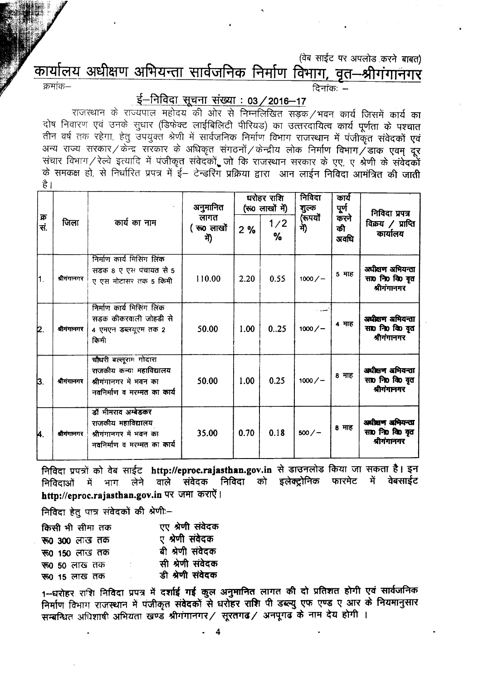#### (वेब साईट पर अपलोड करने बाबत)

<u>कार्यालय अधीक्षण अभियन्ता सार्वजनिक निर्माण विभाग, वृत–श्रीगंगानगर</u><br>जन्मक–

दिनांक $-$ 

## $\xi$ –निविदा सूचना संख्या: 03/2016–17

राजस्थान के राज्यपाल महोदय की ओर से निम्नलिखित सड़क /भवन कार्य जिसमें कार्य का दोष निवारण एवं उनके सुधार (डिफेक्ट लाईबिलिटी पीरियड) का उत्तरदायित्व कार्य पूर्णता के पश्चात तीन वर्ष तक रहेगा, हेतु उपयुक्त श्रेणी में सार्वजनिक निर्माण विभाग राजस्थान में पंजीकृत संवेदकों एवं अन्य राज्य सरकार / केन्द्र सरकार के अधिकृत संगठनों / केन्द्रीय लोक निर्माण विभाग / डाक एवम् दूर संचार विभाग / रेल्वे इत्यादि में पंजीकृत संवेदकों, जो कि राजस्थान सरकार के एए, ए श्रेणी के संवेदकों के समकक्ष हो, से निर्धारित प्रपत्र में ई– टेन्डरिंग प्रक्रिया द्वारा आन लाईन निविदा आमंत्रित की जाती है ।

| क्र<br>सं. | जिला        | कार्य का नाम                                                                                               | अनुमानित<br>लागत<br>(रुo लाखों<br>में) | घरोहर राशि<br>(रू0 लाखों में) |          | निविदा<br>शुल्क | कार्य<br>पूर्ण<br>करने | निविदा प्रपत्र                                     |
|------------|-------------|------------------------------------------------------------------------------------------------------------|----------------------------------------|-------------------------------|----------|-----------------|------------------------|----------------------------------------------------|
|            |             |                                                                                                            |                                        | 2%                            | 1/2<br>% | (रूपयों<br>में) | की<br>अवधि             | विक्रय $\angle$ प्राप्ति<br>कार्यालय               |
| 1.         | श्रीगंगानगर | निर्माण कार्य मिसिंग लिंक<br>सडक 8 ए एस पंचायत से 5<br>ए एस मोटासर तक 5 किमी                               | 110.00                                 | 2.20                          | 0.55     | $1000/-$        | 5 माह                  | अधीक्षण अभियन्ता<br>सा0 नि0 वि0 वृत<br>श्रीगंगानगर |
| þ.         | श्रीगंगानगर | निर्माण कार्य मिसिंग लिंक<br>सडक कीकरवाली जोहडी से<br>4 एमएन डब्लयूएम तक 2<br>किमी                         | 50.00                                  | 1.00                          | 0.25     | $1000/-$        | 4 माह                  | अधीक्षण अभियन्ता<br>सा0 नि0 कि वृत<br>श्रीगंगानगर  |
| 3.         | श्रीगंगानगर | चौधरी बल्लूराम गोदारा<br>राजकीय कन्या महाविद्यालय<br>श्रीगंगानगर में भवन का<br>नवनिर्माण व मरम्मत का कार्य | 50.00                                  | 1.00                          | 0.25     | $1000/-$        | 8 माह                  | अधीक्षण अभियन्ता<br>सा0 नि0 वि0 वृत<br>श्रीगंगानगर |
| k.         | श्रीगंगानगर | डॉ मीमराव अम्बेडकर<br>राजकीय महाविद्यालय<br>श्रीगंगानगर में भवन का<br>नवनिर्माण व मरम्मत का कार्य          | 35.00                                  | 0.70                          | 0.18     | $500 / -$       | 8 माह                  | अधीक्षण अभियन्ता<br>सा0 नि0 वि0 वृत<br>श्रीगंगानगर |

निविदा प्रपत्रों को वेब साईट http://eproc.rajasthan.gov.in से डाउनलोड किया जा सकता है। इन<br>निविदाओं में भाग लेने वाले संवेदक निविदा को इलेक्टोनिक फारमेट में वेबसाईट निविदाओं में भाग लेने वाले संवेदक निविदा को इलेक्ट्रोनिक http://eproc.rajasthan.gov.in पर जमा कराऐं।

निविदा हेतु पात्र संवेदकों की श्रेणी:-

| किसी भी सीमा तक       |   | एए श्रेणी संवेदक |
|-----------------------|---|------------------|
| <b>रू० ३००</b> लाख तक |   | ए श्रेणी संवेदक  |
| रू0 150 लाख तक        |   | बी श्रेणी संवेदक |
| <b>रू0 50 लाख तक</b>  | t | सी श्रेणी संवेदक |
| <b>रू0 15 लाख तक</b>  |   | डी श्रेणी संवेदक |

1--धरोहर राशि निविदा प्रपत्र में दर्शाई गई कुल अनुमानित लागत की दो प्रतिशत होगी एवं सार्वजनिक निर्माण विभाग राजस्थान में पंजीकृत संवेदकों से धरोहर राशि पी डब्ल्यु एफ एण्ड ए आर के नियमानुसार सम्बन्धित अधिशाषी अभियता खण्ड श्रीगंगानगर/ सूरतगढ/ अनपूगढ के नाम देय होगी ।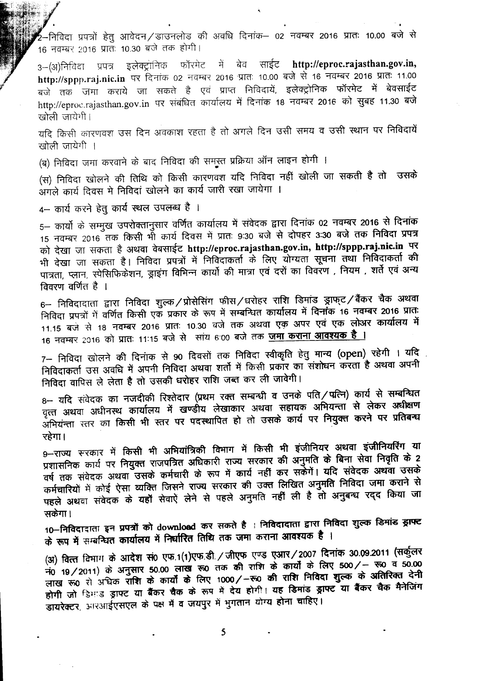· निविदा प्रपत्रों हेतु आवेदन $\angle$ डाउनलोड की अवधि दिनांक— 02 नवम्बर 2016 प्रातः 10.00 बजे <del>र</del> 16 नवम्बर 2016 प्रातः 10.30 बजे तक होगी।

3–(अ)निविदा प्रपत्र इलेक्ट्रांनिक फॉरमेट में बेव साईट http://eproc.rajasthan.gov.in, http://sppp.raj.nic.in पर दिनांक 02 नवम्बर 2016 प्रातः 10.00 बजे से 16 नवम्बर 2016 प्रातः 11.00 बजे तक जमा कराये जा सकते है एवं प्राप्त निविदायें, इलेक्ट्रोनिक फॉरमेट में बेवसाईट http://eproc.rajasthan.gov.in पर संबंधित कार्यालय में दिनांक 18 नवम्बर 2016 को सुबह 11.30 बजे खोली जायेगी।

यदि किसी कारणवश उस दिन अवकाश रहता है तो अगले दिन उसी समय व उसी स्थान पर निविदायें  $\overline{u}$  खोली जायेगी ।

(ब) निविदा जमा करवाने के बाद निविदा की समुस्त प्रक्रिया ऑन लाइन होगी ।

(स) निविदा खोलने की तिथि को किसी कारणवश यदि निविदा नहीं खोली जा सकती है तो उसके आगले कार्य दिवस मे निविदां खोलने का कार्य जारी रखा जायेगा ।

4- कार्य करने हेतु कार्य स्थल उपलब्ध है ।

5– कार्यों के सम्मुख उपरोक्तानुसार वर्णित कार्यालय में संवेदक द्वारा दिनांक 02 नवम्बर 2016 से दिनांक 15 नवम्बर 2016 तक किसी भी कार्य दिवस में प्रातः 9:30 बजे से दोपहर 3:30 बजे तक निविदा प्रपत्र को देखा जा सकता है अथवा वेबसाईट http://eproc.rajasthan.gov.in, http://sppp.raj.nic.in पर भी देखा जा सकता है। निविदा प्रपत्रों में निविदाकर्ता के लिए योग्यता सूचना तथा निविदाकर्ता की पात्रता, प्लान, स्पेसिफिकेशन, ड्राइंग विभिन्न कार्यो की मात्रा एवं दरों का विवरण , नियम , शर्ते एवं अन्य विवरण वर्णित है ।

 $6-$  निविदादाता द्वारा निविदा शुल्कं / प्रोसेसिंग फीसं / धरोहर राशि डिमांड ड्राफ्टं / बैंकर चैक अथवा निविदा प्रपत्रों में वर्णित किसी एक प्रकार के रूप में सम्बन्धित कार्यालय में <del>दिनां</del>क 16 नवम्बर 2016 प्रातः 11.15 बजे से 18 नवम्बर 2016 प्रातः 10.30 वजे तक अथवा एक अपर एवं एक लोअर कार्यालय में 16 नवम्बर 2016 को प्रातः 11:15 बजे से सांय 6:00 बजे तक जमा कराना आवश्यक है ।

7– निविदा खोलने की दिनांक से 90 दिवसों तक निविदा स्वीकृति हेतु मान्य (open) रहेगी । यदि निविदाकर्ता उस अवधि में अपनी निविदा अथवा शर्तो में किसी प्रकार का संशोधन करता है अथवा अपनी निविदा वापिस ले लेता है तो उसकी धरोहर राशि जब्त कर ली जावेगी।

 $8-$  यदि संवेदक का नजदीकी रिश्तेदार (प्रथम रक्त सम्बन्धी व उनके पति / पत्नि) कार्य से सम्बन्धित वृत्त अथवा अधीनस्थ कार्यालय में खण्डीय लेखाकार अथवा सहायक अभियन्ता से लेकर अधीक्षण ्<br>अभियंन्ता स्तर का किसी भी स्तर पर पदस्थापित हो तो उसके कार्य पर नियुक्त करने पर प्रतिबन्ध रहेगा।

9--राज्य सरकार में किसी भी अभियांत्रिकी विभाग में किसी भी इंजीनियर अथवा इंजीनियरिंग या प्रशासनिक कार्य पर नियुक्त राजपत्रित अधिकारी राज्य सरकार की अनुमति के बिना सेवा निवृति के 2 वर्ष तक संवेदक अथवा उसके कर्मचारी के रूप में कार्य नहीं कर सकेंगें। यदि संवेदक अथवा उसके कर्मचारियों में कोई ऐसा व्यक्ति जिसने राज्य सरकार की उक्त लिखित अनुमति निविदा जमा कराने से पहले अथवा संवेदक के यहाँ सेवाऐं लेने से पहले अनुमति नहीं ली है तो अनुबन्ध रदद किया जा सकेगा ।

 $10-$ निविदादाता इन प्रपत्रों को download कर सकते है । निविदादाता द्वारा निविदा शुल्क डिमांड झाफ्ट  $\dot{\sigma}$  रूप में सम्बन्धित कार्यालय में निर्धारित तिथि तक जमा कराना आवश्यक है ।

(अ) वित्त विभाग के आदेश सं0 एफ.1(1)एफ.डी. / जीएफ एण्ड एआर / 2007 दिनांक 30.09.2011 (सर्कुलर  $\frac{1}{20}$  19/2011) के अनुसार 50.00 लाख रू0 तक की राशि के कार्यों के लिए 500/ - रू0 व 50.00 लाख रू0 से अधिक राशि के कार्यों के लिए 1000/-रू0 की राशि निविदा शुल्क के अतिरिक्त देनी होगी जो डिमाड ड्राफ्ट या बैंकर चैक के रूप में देय होगी। यह डिमांड ड्राफ्ट या बैंकर चैक मैनेजिंग डायरेक्टर, आरआईएसएल के पक्ष में व जयपुर में भुगतान योग्य होना चाहिए।

5